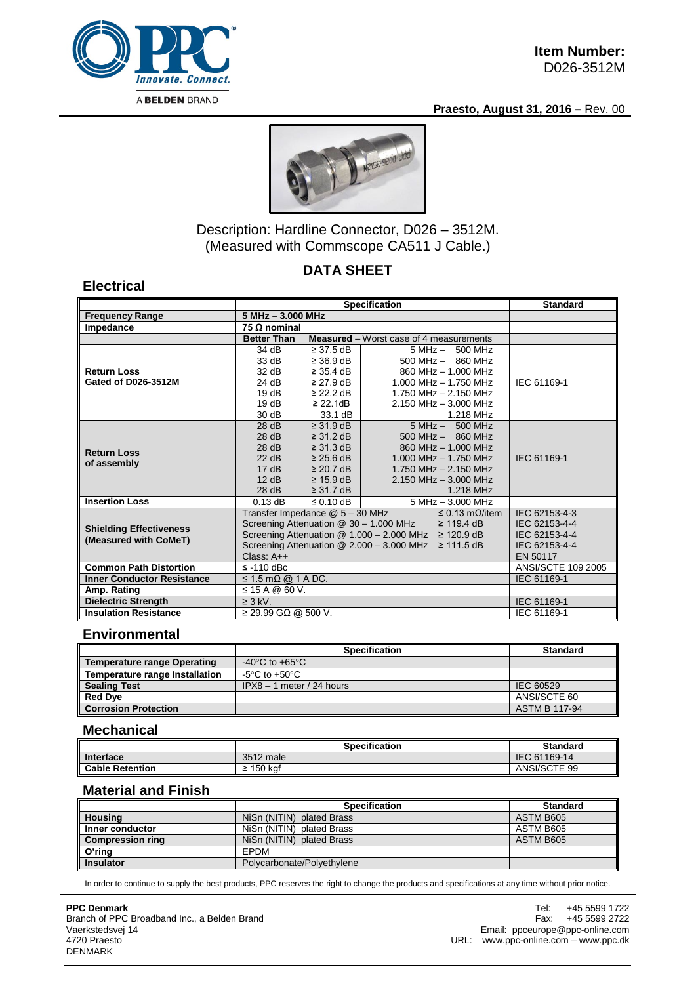

#### **Praesto, August 31, 2016 –** Rev. 00



# Description: Hardline Connector, D026 – 3512M. (Measured with Commscope CA511 J Cable.)

# **DATA SHEET**

### **Electrical**

|                                                         | <b>Specification</b>                                                                                                                                                                                                                                                                                |                                                                                                                            |                                                                                                                                                                   | <b>Standard</b>                                                              |
|---------------------------------------------------------|-----------------------------------------------------------------------------------------------------------------------------------------------------------------------------------------------------------------------------------------------------------------------------------------------------|----------------------------------------------------------------------------------------------------------------------------|-------------------------------------------------------------------------------------------------------------------------------------------------------------------|------------------------------------------------------------------------------|
| <b>Frequency Range</b>                                  |                                                                                                                                                                                                                                                                                                     | $5 MHz - 3.000 MHz$                                                                                                        |                                                                                                                                                                   |                                                                              |
| Impedance                                               | 75 $\Omega$ nominal                                                                                                                                                                                                                                                                                 |                                                                                                                            |                                                                                                                                                                   |                                                                              |
|                                                         | <b>Better Than</b>                                                                                                                                                                                                                                                                                  |                                                                                                                            | <b>Measured</b> – Worst case of 4 measurements                                                                                                                    |                                                                              |
| <b>Return Loss</b><br>Gated of D026-3512M               | 34 dB<br>33 dB<br>32 dB<br>24 dB<br>19dB                                                                                                                                                                                                                                                            | $\geq$ 37.5 dB<br>$\geq$ 36.9 dB<br>$\geq$ 35.4 dB<br>$\geq$ 27.9 dB<br>$\geq$ 22.2 dB                                     | $5 MHz - 500 MHz$<br>$500$ MHz $-$ 860 MHz<br>860 MHz - 1.000 MHz<br>$1.000$ MHz $- 1.750$ MHz<br>1.750 MHz $-$ 2.150 MHz                                         | IEC 61169-1                                                                  |
|                                                         | 19dB<br>30 dB                                                                                                                                                                                                                                                                                       | $\geq$ 22.1dB<br>$33.1 \text{ dB}$                                                                                         | $2.150$ MHz $- 3.000$ MHz<br>1.218 MHz                                                                                                                            |                                                                              |
| <b>Return Loss</b><br>of assembly                       | 28 dB<br>28 dB<br>28 dB<br>22 dB<br>17dB<br>12 dB<br>28 dB                                                                                                                                                                                                                                          | $\geq$ 31.9 dB<br>$\geq$ 31.2 dB<br>$\geq$ 31.3 dB<br>$\geq$ 25.6 dB<br>$\geq$ 20.7 dB<br>$\geq 15.9$ dB<br>$\geq$ 31.7 dB | $5 MHz - 500 MHz$<br>$500$ MHz $-$ 860 MHz<br>860 MHz - 1,000 MHz<br>$1.000$ MHz $- 1.750$ MHz<br>1.750 MHz - 2.150 MHz<br>$2.150$ MHz $- 3.000$ MHz<br>1.218 MHz | IEC 61169-1                                                                  |
| <b>Insertion Loss</b>                                   | $0.13$ dB                                                                                                                                                                                                                                                                                           | $\leq$ 0.10 dB                                                                                                             | 5 MHz - 3.000 MHz                                                                                                                                                 |                                                                              |
| <b>Shielding Effectiveness</b><br>(Measured with CoMeT) | Transfer Impedance @ 5 - 30 MHz<br>$\leq$ 0.13 m $\Omega$ /item<br>Screening Attenuation @ 30 - 1.000 MHz<br>$\geq$ 119.4 dB<br>Screening Attenuation $@ 1.000 - 2.000 \text{ MHz} \ge 120.9 \text{ dB}$<br>Screening Attenuation $\textcircled{2}$ 2.000 - 3.000 MHz $\geq$ 111.5 dB<br>Class: A++ |                                                                                                                            |                                                                                                                                                                   | IEC 62153-4-3<br>IEC 62153-4-4<br>IEC 62153-4-4<br>IEC 62153-4-4<br>EN 50117 |
| <b>Common Path Distortion</b>                           | $\le$ -110 dBc                                                                                                                                                                                                                                                                                      | ANSI/SCTE 109 2005                                                                                                         |                                                                                                                                                                   |                                                                              |
| <b>Inner Conductor Resistance</b>                       | $\leq$ 1.5 m $\Omega$ @ 1 A DC.                                                                                                                                                                                                                                                                     | IEC 61169-1                                                                                                                |                                                                                                                                                                   |                                                                              |
| Amp. Rating                                             | $\leq$ 15 A @ 60 V.                                                                                                                                                                                                                                                                                 |                                                                                                                            |                                                                                                                                                                   |                                                                              |
| <b>Dielectric Strength</b>                              | $\geq 3$ kV.                                                                                                                                                                                                                                                                                        |                                                                                                                            |                                                                                                                                                                   | IEC 61169-1                                                                  |
| <b>Insulation Resistance</b>                            | $≥$ 29.99 GΩ @ 500 V.                                                                                                                                                                                                                                                                               |                                                                                                                            |                                                                                                                                                                   | IEC 61169-1                                                                  |

#### **Environmental**

|                                       | <b>Specification</b>               | <b>Standard</b> |
|---------------------------------------|------------------------------------|-----------------|
| <b>Temperature range Operating</b>    | $-40^{\circ}$ C to $+65^{\circ}$ C |                 |
| <b>Temperature range Installation</b> | -5°C to +50°C.                     |                 |
| <b>Sealing Test</b>                   | $IPX8 - 1$ meter / 24 hours        | IEC 60529       |
| <b>Red Dye</b>                        |                                    | ANSI/SCTE 60    |
| <b>Corrosion Protection</b>           |                                    | ASTM B 117-94   |

## **Mechanical**

|                        | Specification  | <b>Standard</b> |
|------------------------|----------------|-----------------|
| <b>Interface</b>       | 3512 male      | IEC 61169-14    |
| <b>Cable Retention</b> | 150 kaf<br>- 1 | ANSI/SCTE 99    |

## **Material and Finish**

|                         | <b>Specification</b>       | <b>Standard</b> |
|-------------------------|----------------------------|-----------------|
| <b>Housing</b>          | NiSn (NITIN) plated Brass  | ASTM B605       |
| Inner conductor         | NiSn (NITIN) plated Brass  | ASTM B605       |
| <b>Compression ring</b> | NiSn (NITIN) plated Brass  | ASTM B605       |
| O'ring                  | EPDM                       |                 |
| <b>Insulator</b>        | Polycarbonate/Polyethylene |                 |

In order to continue to supply the best products, PPC reserves the right to change the products and specifications at any time without prior notice.

**PPC Denmark** Branch of PPC Broadband Inc., a Belden Brand Vaerkstedsvej 14 4720 Praesto DENMARK